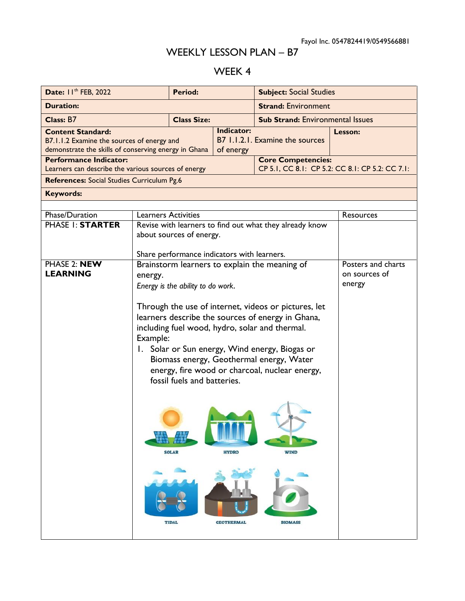## WEEKLY LESSON PLAN – B7

## WEEK 4

| Date: II <sup>th</sup> FEB, 2022                                                                                               |                                                                                                                                                                                                                                                                                                                                                        | <b>Period:</b>                                                                      |                           | <b>Subject: Social Studies</b>                |           |  |
|--------------------------------------------------------------------------------------------------------------------------------|--------------------------------------------------------------------------------------------------------------------------------------------------------------------------------------------------------------------------------------------------------------------------------------------------------------------------------------------------------|-------------------------------------------------------------------------------------|---------------------------|-----------------------------------------------|-----------|--|
| <b>Duration:</b>                                                                                                               |                                                                                                                                                                                                                                                                                                                                                        |                                                                                     |                           | <b>Strand: Environment</b>                    |           |  |
| Class: B7                                                                                                                      |                                                                                                                                                                                                                                                                                                                                                        | <b>Class Size:</b>                                                                  |                           | <b>Sub Strand: Environmental Issues</b>       |           |  |
| <b>Content Standard:</b><br>B7.1.1.2 Examine the sources of energy and<br>demonstrate the skills of conserving energy in Ghana |                                                                                                                                                                                                                                                                                                                                                        | Indicator:<br>of energy                                                             |                           | B7 1.1.2.1. Examine the sources               | Lesson:   |  |
| <b>Performance Indicator:</b>                                                                                                  |                                                                                                                                                                                                                                                                                                                                                        |                                                                                     | <b>Core Competencies:</b> |                                               |           |  |
| CP 5.1, CC 8.1: CP 5.2: CC 8.1: CP 5.2: CC 7.1:<br>Learners can describe the various sources of energy                         |                                                                                                                                                                                                                                                                                                                                                        |                                                                                     |                           |                                               |           |  |
| References: Social Studies Curriculum Pg.6                                                                                     |                                                                                                                                                                                                                                                                                                                                                        |                                                                                     |                           |                                               |           |  |
| <b>Keywords:</b>                                                                                                               |                                                                                                                                                                                                                                                                                                                                                        |                                                                                     |                           |                                               |           |  |
| Phase/Duration                                                                                                                 | <b>Learners Activities</b>                                                                                                                                                                                                                                                                                                                             |                                                                                     |                           |                                               | Resources |  |
| PHASE I: STARTER                                                                                                               |                                                                                                                                                                                                                                                                                                                                                        |                                                                                     |                           |                                               |           |  |
|                                                                                                                                |                                                                                                                                                                                                                                                                                                                                                        | Revise with learners to find out what they already know<br>about sources of energy. |                           |                                               |           |  |
|                                                                                                                                |                                                                                                                                                                                                                                                                                                                                                        |                                                                                     |                           |                                               |           |  |
|                                                                                                                                |                                                                                                                                                                                                                                                                                                                                                        | Share performance indicators with learners.                                         |                           |                                               |           |  |
| PHASE 2: NEW<br><b>LEARNING</b>                                                                                                | Brainstorm learners to explain the meaning of<br>energy.<br>Energy is the ability to do work.                                                                                                                                                                                                                                                          |                                                                                     |                           | Posters and charts<br>on sources of<br>energy |           |  |
|                                                                                                                                | Through the use of internet, videos or pictures, let<br>learners describe the sources of energy in Ghana,<br>including fuel wood, hydro, solar and thermal.<br>Example:<br>1. Solar or Sun energy, Wind energy, Biogas or<br>Biomass energy, Geothermal energy, Water<br>energy, fire wood or charcoal, nuclear energy,<br>fossil fuels and batteries. |                                                                                     |                           |                                               |           |  |
|                                                                                                                                |                                                                                                                                                                                                                                                                                                                                                        | <b>SOLAR</b>                                                                        | <b>HYDRO</b>              | <b>WIND</b>                                   |           |  |
|                                                                                                                                |                                                                                                                                                                                                                                                                                                                                                        | <b>TIDAL</b>                                                                        | <b>GEOTHERMAL</b>         | <b>BIOMASS</b>                                |           |  |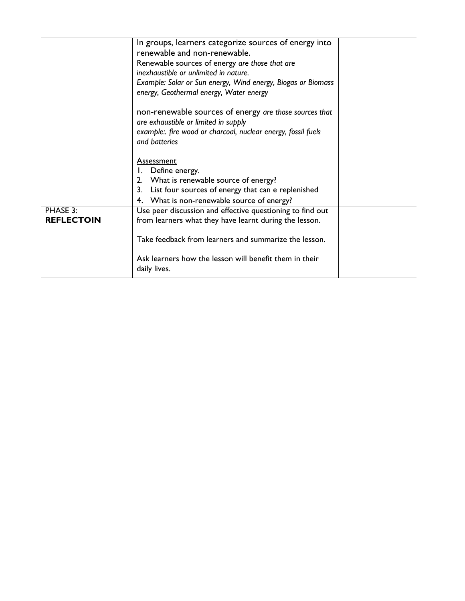|                               | In groups, learners categorize sources of energy into<br>renewable and non-renewable.<br>Renewable sources of energy are those that are<br>inexhaustible or unlimited in nature.<br>Example: Solar or Sun energy, Wind energy, Biogas or Biomass |  |
|-------------------------------|--------------------------------------------------------------------------------------------------------------------------------------------------------------------------------------------------------------------------------------------------|--|
|                               | energy, Geothermal energy, Water energy<br>non-renewable sources of energy are those sources that<br>are exhaustible or limited in supply<br>example: fire wood or charcoal, nuclear energy, fossil fuels<br>and batteries                       |  |
|                               | <b>Assessment</b><br>I. Define energy.<br>2. What is renewable source of energy?<br>3. List four sources of energy that can e replenished<br>4. What is non-renewable source of energy?                                                          |  |
| PHASE 3:<br><b>REFLECTOIN</b> | Use peer discussion and effective questioning to find out<br>from learners what they have learnt during the lesson.<br>Take feedback from learners and summarize the lesson.                                                                     |  |
|                               | Ask learners how the lesson will benefit them in their<br>daily lives.                                                                                                                                                                           |  |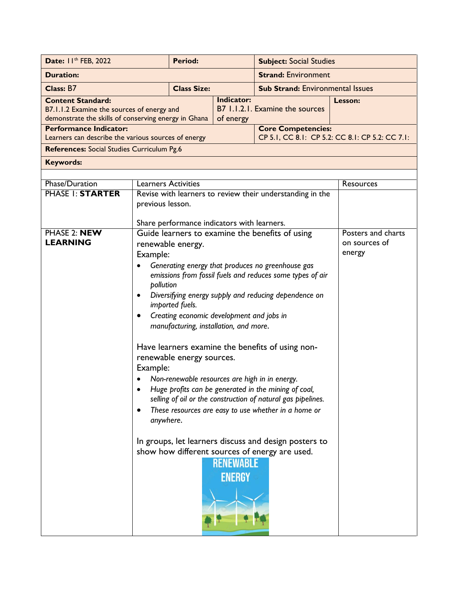| Date: 11th FEB, 2022                                                                                                           |                                                                                                                                                                                                                                                                                                                                                                                                                                                                                                                                                                                                                                                                                                                                                                                                                                                                                               | Period: |                                   | <b>Subject: Social Studies</b>                            |                                                 |
|--------------------------------------------------------------------------------------------------------------------------------|-----------------------------------------------------------------------------------------------------------------------------------------------------------------------------------------------------------------------------------------------------------------------------------------------------------------------------------------------------------------------------------------------------------------------------------------------------------------------------------------------------------------------------------------------------------------------------------------------------------------------------------------------------------------------------------------------------------------------------------------------------------------------------------------------------------------------------------------------------------------------------------------------|---------|-----------------------------------|-----------------------------------------------------------|-------------------------------------------------|
| <b>Duration:</b>                                                                                                               |                                                                                                                                                                                                                                                                                                                                                                                                                                                                                                                                                                                                                                                                                                                                                                                                                                                                                               |         |                                   | <b>Strand: Environment</b>                                |                                                 |
| Class: B7                                                                                                                      | <b>Class Size:</b>                                                                                                                                                                                                                                                                                                                                                                                                                                                                                                                                                                                                                                                                                                                                                                                                                                                                            |         |                                   | <b>Sub Strand: Environmental Issues</b>                   |                                                 |
| <b>Content Standard:</b><br>B7.1.1.2 Examine the sources of energy and<br>demonstrate the skills of conserving energy in Ghana |                                                                                                                                                                                                                                                                                                                                                                                                                                                                                                                                                                                                                                                                                                                                                                                                                                                                                               |         | Indicator:<br>of energy           | B7 1.1.2.1. Examine the sources                           | Lesson:                                         |
| <b>Performance Indicator:</b>                                                                                                  |                                                                                                                                                                                                                                                                                                                                                                                                                                                                                                                                                                                                                                                                                                                                                                                                                                                                                               |         |                                   | <b>Core Competencies:</b>                                 | CP 5.1, CC 8.1: CP 5.2: CC 8.1: CP 5.2: CC 7.1: |
| Learners can describe the various sources of energy<br>References: Social Studies Curriculum Pg.6                              |                                                                                                                                                                                                                                                                                                                                                                                                                                                                                                                                                                                                                                                                                                                                                                                                                                                                                               |         |                                   |                                                           |                                                 |
| <b>Keywords:</b>                                                                                                               |                                                                                                                                                                                                                                                                                                                                                                                                                                                                                                                                                                                                                                                                                                                                                                                                                                                                                               |         |                                   |                                                           |                                                 |
|                                                                                                                                |                                                                                                                                                                                                                                                                                                                                                                                                                                                                                                                                                                                                                                                                                                                                                                                                                                                                                               |         |                                   |                                                           |                                                 |
| Phase/Duration                                                                                                                 | <b>Learners Activities</b>                                                                                                                                                                                                                                                                                                                                                                                                                                                                                                                                                                                                                                                                                                                                                                                                                                                                    |         |                                   |                                                           | Resources                                       |
| <b>PHASE I: STARTER</b>                                                                                                        |                                                                                                                                                                                                                                                                                                                                                                                                                                                                                                                                                                                                                                                                                                                                                                                                                                                                                               |         |                                   | Revise with learners to review their understanding in the |                                                 |
|                                                                                                                                | previous lesson.                                                                                                                                                                                                                                                                                                                                                                                                                                                                                                                                                                                                                                                                                                                                                                                                                                                                              |         |                                   |                                                           |                                                 |
|                                                                                                                                |                                                                                                                                                                                                                                                                                                                                                                                                                                                                                                                                                                                                                                                                                                                                                                                                                                                                                               |         |                                   |                                                           |                                                 |
| PHASE 2: NEW<br><b>LEARNING</b>                                                                                                | Share performance indicators with learners.<br>Guide learners to examine the benefits of using<br>renewable energy.<br>Example:<br>Generating energy that produces no greenhouse gas<br>emissions from fossil fuels and reduces some types of air<br>pollution<br>Diversifying energy supply and reducing dependence on<br>imported fuels.<br>Creating economic development and jobs in<br>٠<br>manufacturing, installation, and more.<br>Have learners examine the benefits of using non-<br>renewable energy sources.<br>Example:<br>Non-renewable resources are high in in energy.<br>Huge profits can be generated in the mining of coal,<br>selling of oil or the construction of natural gas pipelines.<br>These resources are easy to use whether in a home or<br>anywhere.<br>In groups, let learners discuss and design posters to<br>show how different sources of energy are used. |         |                                   | Posters and charts<br>on sources of<br>energy             |                                                 |
|                                                                                                                                |                                                                                                                                                                                                                                                                                                                                                                                                                                                                                                                                                                                                                                                                                                                                                                                                                                                                                               |         | <b>RENEWABLE</b><br><b>ENERGY</b> |                                                           |                                                 |